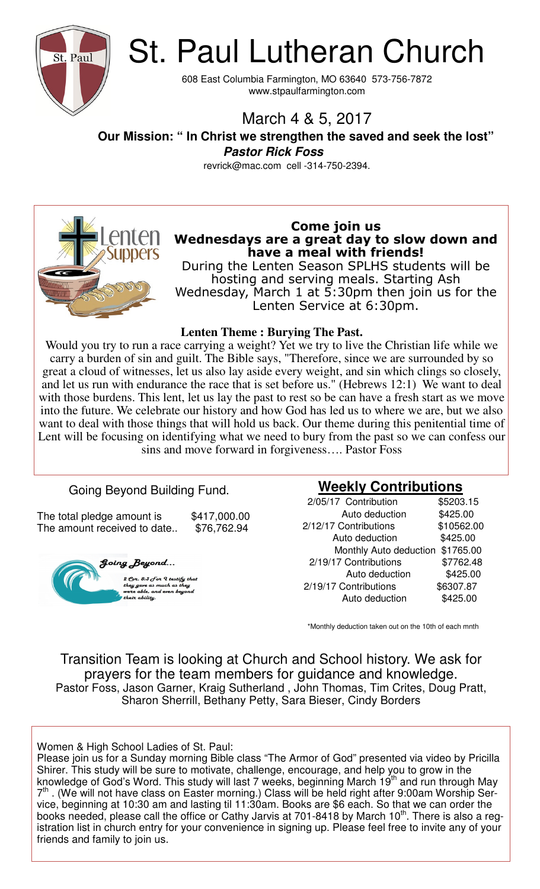

St. Paul Lutheran Church

608 East Columbia Farmington, MO 63640 573-756-7872 www.stpaulfarmington.com

### March 4 & 5, 2017

 **Our Mission: " In Christ we strengthen the saved and seek the lost" Pastor Rick Foss** 

revrick@mac.com cell -314-750-2394.



#### **Come join us Wednesdays are a great day to slow down and have a meal with friends!**

During the Lenten Season SPLHS students will be hosting and serving meals. Starting Ash Wednesday, March 1 at 5:30pm then join us for the Lenten Service at 6:30pm.

#### **Lenten Theme : Burying The Past.**

Would you try to run a race carrying a weight? Yet we try to live the Christian life while we carry a burden of sin and guilt. The Bible says, "Therefore, since we are surrounded by so great a cloud of witnesses, let us also lay aside every weight, and sin which clings so closely, and let us run with endurance the race that is set before us." (Hebrews 12:1) We want to deal with those burdens. This lent, let us lay the past to rest so be can have a fresh start as we move into the future. We celebrate our history and how God has led us to where we are, but we also want to deal with those things that will hold us back. Our theme during this penitential time of Lent will be focusing on identifying what we need to bury from the past so we can confess our sins and move forward in forgiveness…. Pastor Foss

#### Going Beyond Building Fund.

The total pledge amount is  $$417,000.00$ The amount received to date.. \$76,762.94



#### **Weekly Contributions**

| 2/05/17 Contribution   | \$5203.15  |
|------------------------|------------|
| Auto deduction         | \$425.00   |
| 2/12/17 Contributions  | \$10562.00 |
| Auto deduction         | \$425.00   |
| Monthly Auto deduction | \$1765.00  |
| 2/19/17 Contributions  | \$7762.48  |
| Auto deduction         | \$425.00   |
| 2/19/17 Contributions  | \$6307.87  |
| Auto deduction         | \$425.00   |

\*Monthly deduction taken out on the 10th of each mnth

Transition Team is looking at Church and School history. We ask for prayers for the team members for guidance and knowledge. Pastor Foss, Jason Garner, Kraig Sutherland , John Thomas, Tim Crites, Doug Pratt, Sharon Sherrill, Bethany Petty, Sara Bieser, Cindy Borders

Women & High School Ladies of St. Paul:

Please join us for a Sunday morning Bible class "The Armor of God" presented via video by Pricilla Shirer. This study will be sure to motivate, challenge, encourage, and help you to grow in the knowledge of God's Word. This study will last 7 weeks, beginning March 19<sup>th</sup> and run through May 7<sup>th</sup>. (We will not have class on Easter morning.) Class will be held right after 9:00am Worship Service, beginning at 10:30 am and lasting til 11:30am. Books are \$6 each. So that we can order the books needed, please call the office or Cathy Jarvis at 701-8418 by March 10<sup>th</sup>. There is also a registration list in church entry for your convenience in signing up. Please feel free to invite any of your friends and family to join us.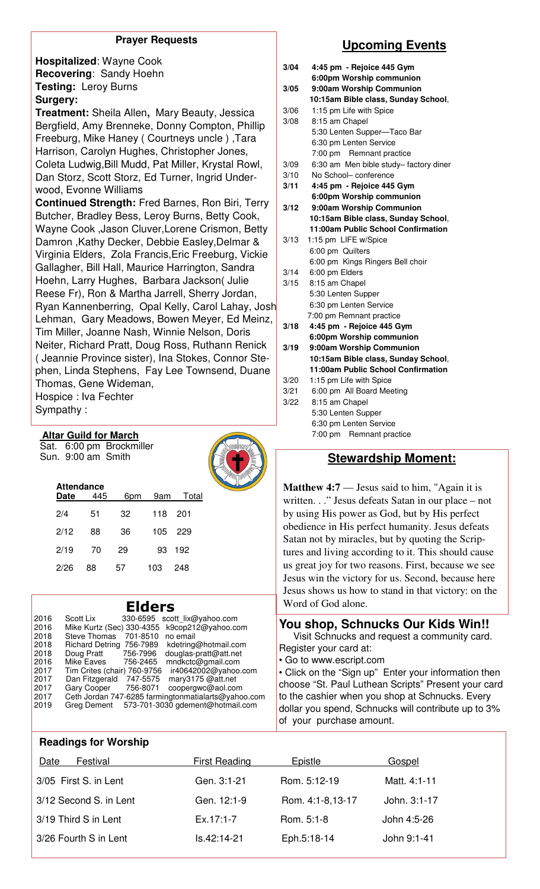#### **Prayer Requests**

**Hospitalized**: Wayne Cook **Recovering**: Sandy Hoehn **Testing:** Leroy Burns **Surgery:** 

**Treatment:** Sheila Allen**,** Mary Beauty, Jessica Bergfield, Amy Brenneke, Donny Compton, Phillip Freeburg, Mike Haney ( Courtneys uncle ) ,Tara Harrison, Carolyn Hughes, Christopher Jones, Coleta Ludwig,Bill Mudd, Pat Miller, Krystal Rowl, Dan Storz, Scott Storz, Ed Turner, Ingrid Underwood, Evonne Williams

**Continued Strength:** Fred Barnes, Ron Biri, Terry Butcher, Bradley Bess, Leroy Burns, Betty Cook, Wayne Cook ,Jason Cluver,Lorene Crismon, Betty Damron ,Kathy Decker, Debbie Easley,Delmar & Virginia Elders, Zola Francis,Eric Freeburg, Vickie Gallagher, Bill Hall, Maurice Harrington, Sandra Hoehn, Larry Hughes, Barbara Jackson( Julie Reese Fr), Ron & Martha Jarrell, Sherry Jordan, Ryan Kannenberring, Opal Kelly, Carol Lahay, Josh Lehman, Gary Meadows, Bowen Meyer, Ed Meinz, Tim Miller, Joanne Nash, Winnie Nelson, Doris Neiter, Richard Pratt, Doug Ross, Ruthann Renick ( Jeannie Province sister), Ina Stokes, Connor Stephen, Linda Stephens, Fay Lee Townsend, Duane Thomas, Gene Wideman, Hospice : Iva Fechter Sympathy :

**Altar Guild for March** 

Sat. 6:00 pm Brockmiller



| <b>Attendance</b><br>Date | 445 | 6pm | 9am | Total |
|---------------------------|-----|-----|-----|-------|
| 2/4                       | 51  | 32  | 118 | -201  |
| 2/12                      | 88  | 36  | 105 | -229  |
| 2/19                      | 70  | 29  | 93  | 192   |
| 2/26                      | 88  | 57  | 103 | 248   |

| 2016 | Scott Lix                   |          | 330-6595 scott lix@yahoo.com                        |
|------|-----------------------------|----------|-----------------------------------------------------|
| 2016 | Mike Kurtz (Sec) 330-4355   |          | k9cop212@yahoo.com                                  |
| 2018 | <b>Steve Thomas</b>         | 701-8510 | no email                                            |
| 2018 | <b>Richard Detring</b>      | 756-7989 | kdetring@hotmail.com                                |
| 2018 | Doug Pratt                  | 756-7996 | douglas-pratt@att.net                               |
| 2016 | Mike Eaves                  | 756-2465 | mndkctc@gmail.com                                   |
| 2017 | Tim Crites (chair) 760-9756 |          | ir40642002@yahoo.com                                |
| 2017 | Dan Fitzgerald              | 747-5575 | mary3175 @att.net                                   |
| 2017 | <b>Gary Cooper</b>          | 756-8071 | coopergwc@aol.com                                   |
| 2017 |                             |          | Ceth Jordan 747-6285 farmingtonmatialarts@yahoo.com |
| 2019 | Greg Dement                 |          | 573-701-3030 gdement@hotmail.com                    |
|      |                             |          |                                                     |

#### **Upcoming Events**

| 3/04 | 4:45 pm - Rejoice 445 Gym                            |
|------|------------------------------------------------------|
| 3/05 | 6:00pm Worship communion<br>9:00am Worship Communion |
|      | 10:15am Bible class, Sunday School,                  |
| 3/06 | 1:15 pm Life with Spice                              |
| 3/08 | 8:15 am Chapel                                       |
|      | 5:30 Lenten Supper-Taco Bar                          |
|      | 6:30 pm Lenten Service                               |
|      | 7:00 pm Remnant practice                             |
| 3/09 | 6:30 am Men bible study-factory diner                |
| 3/10 | No School- conference                                |
| 3/11 | 4:45 pm - Rejoice 445 Gym                            |
|      | 6:00pm Worship communion                             |
| 3/12 | 9:00am Worship Communion                             |
|      | 10:15am Bible class, Sunday School,                  |
|      | 11:00am Public School Confirmation                   |
| 3/13 | 1:15 pm LIFE w/Spice                                 |
|      | 6:00 pm Quilters                                     |
|      | 6:00 pm Kings Ringers Bell choir                     |
| 3/14 | 6:00 pm Elders                                       |
| 3/15 | 8:15 am Chapel                                       |
|      | 5:30 Lenten Supper                                   |
|      | 6:30 pm Lenten Service                               |
|      | 7:00 pm Remnant practice                             |
| 3/18 | 4:45 pm - Rejoice 445 Gym                            |
|      | 6:00pm Worship communion                             |
| 3/19 | 9:00am Worship Communion                             |
|      | 10:15am Bible class, Sunday School,                  |
|      | 11:00am Public School Confirmation                   |
| 3/20 | 1:15 pm Life with Spice                              |
| 3/21 | 6:00 pm All Board Meeting                            |
| 3/22 | 8:15 am Chapel                                       |
|      | 5:30 Lenten Supper                                   |
|      | 6:30 pm Lenten Service                               |
|      | 7:00 pm Remnant practice                             |

#### Sun. 9:00 am Smith **Sun. 3:00 am Smith Stewardship Moment: Stewardship Moment:**

**Matthew 4:7** — Jesus said to him, "Again it is written. . ." Jesus defeats Satan in our place – not by using His power as God, but by His perfect obedience in His perfect humanity. Jesus defeats Satan not by miracles, but by quoting the Scriptures and living according to it. This should cause us great joy for two reasons. First, because we see Jesus win the victory for us. Second, because here Jesus shows us how to stand in that victory: on the **Elders** Word of God alone.

#### **You shop, Schnucks Our Kids Win!!**

Visit Schnucks and request a community card. Register your card at:

• Go to www.escript.com

• Click on the "Sign up" Enter your information then choose "St. Paul Luthean Scripts" Present your card to the cashier when you shop at Schnucks. Every dollar you spend, Schnucks will contribute up to 3% of your purchase amount.

#### **Readings for Worship**

| Date<br>Festival       | <b>First Reading</b> | Epistle          | Gospel       |
|------------------------|----------------------|------------------|--------------|
| 3/05 First S. in Lent  | Gen. 3:1-21          | Rom. 5:12-19     | Matt. 4:1-11 |
| 3/12 Second S. in Lent | Gen. 12:1-9          | Rom. 4:1-8,13-17 | John. 3:1-17 |
| 3/19 Third S in Lent   | $Ex.17:1-7$          | Rom. 5:1-8       | John 4:5-26  |
| 3/26 Fourth S in Lent  | Is.42:14-21          | Eph.5:18-14      | John 9:1-41  |
|                        |                      |                  |              |